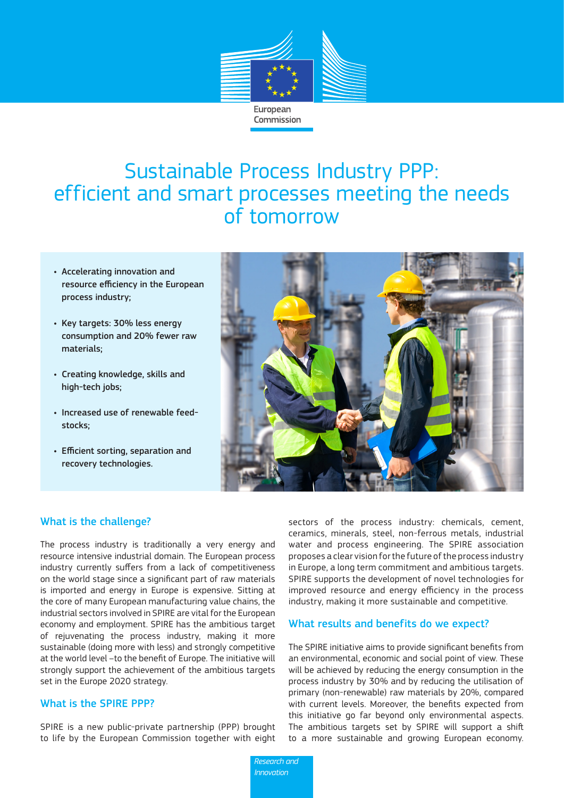

# Sustainable Process Industry PPP: efficient and smart processes meeting the needs of tomorrow

- Accelerating innovation and resource efficiency in the European process industry;
- Key targets: 30% less energy consumption and 20% fewer raw materials;
- Creating knowledge, skills and high-tech jobs;
- Increased use of renewable feedstocks;
- Efficient sorting, separation and recovery technologies.



## What is the challenge?

The process industry is traditionally a very energy and resource intensive industrial domain. The European process industry currently suffers from a lack of competitiveness on the world stage since a significant part of raw materials is imported and energy in Europe is expensive. Sitting at the core of many European manufacturing value chains, the industrial sectors involved in SPIRE are vital for the European economy and employment. SPIRE has the ambitious target of rejuvenating the process industry, making it more sustainable (doing more with less) and strongly competitive at the world level –to the benefit of Europe. The initiative will strongly support the achievement of the ambitious targets set in the Europe 2020 strategy.

## What is the SPIRE PPP?

SPIRE is a new public-private partnership (PPP) brought to life by the European Commission together with eight

sectors of the process industry: chemicals, cement, ceramics, minerals, steel, non-ferrous metals, industrial water and process engineering. The SPIRE association proposes a clear vision for the future of the process industry in Europe, a long term commitment and ambitious targets. SPIRE supports the development of novel technologies for improved resource and energy efficiency in the process industry, making it more sustainable and competitive.

#### What results and benefits do we expect?

The SPIRE initiative aims to provide significant benefits from an environmental, economic and social point of view. These will be achieved by reducing the energy consumption in the process industry by 30% and by reducing the utilisation of primary (non-renewable) raw materials by 20%, compared with current levels. Moreover, the benefits expected from this initiative go far beyond only environmental aspects. The ambitious targets set by SPIRE will support a shift to a more sustainable and growing European economy.